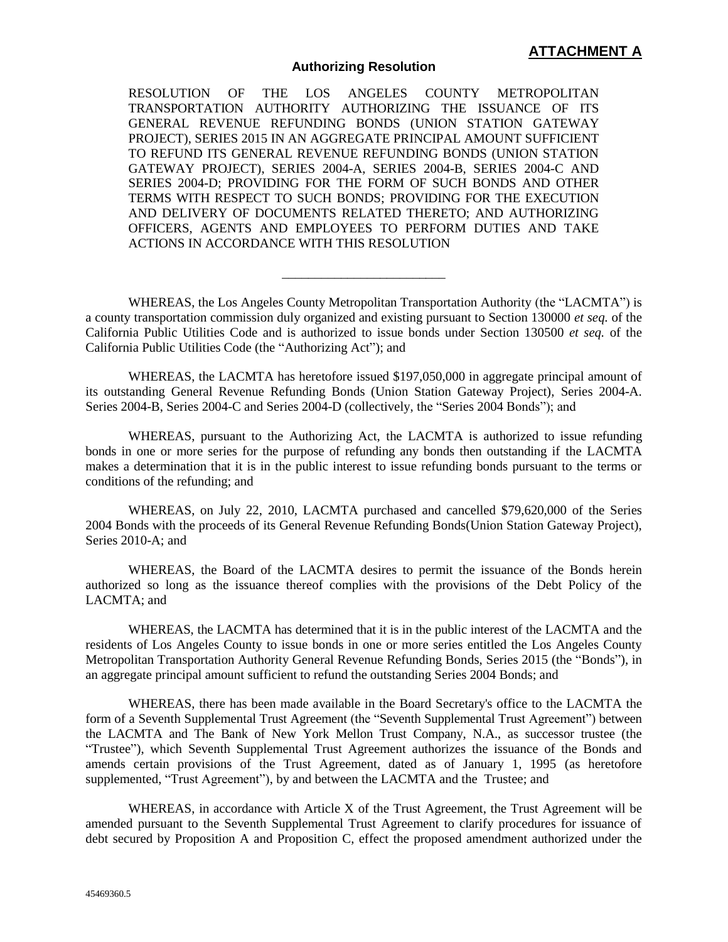## **Authorizing Resolution**

RESOLUTION OF THE LOS ANGELES COUNTY METROPOLITAN TRANSPORTATION AUTHORITY AUTHORIZING THE ISSUANCE OF ITS GENERAL REVENUE REFUNDING BONDS (UNION STATION GATEWAY PROJECT), SERIES 2015 IN AN AGGREGATE PRINCIPAL AMOUNT SUFFICIENT TO REFUND ITS GENERAL REVENUE REFUNDING BONDS (UNION STATION GATEWAY PROJECT), SERIES 2004-A, SERIES 2004-B, SERIES 2004-C AND SERIES 2004-D; PROVIDING FOR THE FORM OF SUCH BONDS AND OTHER TERMS WITH RESPECT TO SUCH BONDS; PROVIDING FOR THE EXECUTION AND DELIVERY OF DOCUMENTS RELATED THERETO; AND AUTHORIZING OFFICERS, AGENTS AND EMPLOYEES TO PERFORM DUTIES AND TAKE ACTIONS IN ACCORDANCE WITH THIS RESOLUTION

WHEREAS, the Los Angeles County Metropolitan Transportation Authority (the "LACMTA") is a county transportation commission duly organized and existing pursuant to Section 130000 *et seq.* of the California Public Utilities Code and is authorized to issue bonds under Section 130500 *et seq.* of the California Public Utilities Code (the "Authorizing Act"); and

\_\_\_\_\_\_\_\_\_\_\_\_\_\_\_\_\_\_\_\_\_\_\_\_\_

WHEREAS, the LACMTA has heretofore issued \$197,050,000 in aggregate principal amount of its outstanding General Revenue Refunding Bonds (Union Station Gateway Project), Series 2004-A. Series 2004-B, Series 2004-C and Series 2004-D (collectively, the "Series 2004 Bonds"); and

WHEREAS, pursuant to the Authorizing Act, the LACMTA is authorized to issue refunding bonds in one or more series for the purpose of refunding any bonds then outstanding if the LACMTA makes a determination that it is in the public interest to issue refunding bonds pursuant to the terms or conditions of the refunding; and

WHEREAS, on July 22, 2010, LACMTA purchased and cancelled \$79,620,000 of the Series 2004 Bonds with the proceeds of its General Revenue Refunding Bonds(Union Station Gateway Project), Series 2010-A; and

WHEREAS, the Board of the LACMTA desires to permit the issuance of the Bonds herein authorized so long as the issuance thereof complies with the provisions of the Debt Policy of the LACMTA; and

WHEREAS, the LACMTA has determined that it is in the public interest of the LACMTA and the residents of Los Angeles County to issue bonds in one or more series entitled the Los Angeles County Metropolitan Transportation Authority General Revenue Refunding Bonds, Series 2015 (the "Bonds"), in an aggregate principal amount sufficient to refund the outstanding Series 2004 Bonds; and

WHEREAS, there has been made available in the Board Secretary's office to the LACMTA the form of a Seventh Supplemental Trust Agreement (the "Seventh Supplemental Trust Agreement") between the LACMTA and The Bank of New York Mellon Trust Company, N.A., as successor trustee (the "Trustee"), which Seventh Supplemental Trust Agreement authorizes the issuance of the Bonds and amends certain provisions of the Trust Agreement, dated as of January 1, 1995 (as heretofore supplemented, "Trust Agreement"), by and between the LACMTA and the Trustee; and

WHEREAS, in accordance with Article X of the Trust Agreement, the Trust Agreement will be amended pursuant to the Seventh Supplemental Trust Agreement to clarify procedures for issuance of debt secured by Proposition A and Proposition C, effect the proposed amendment authorized under the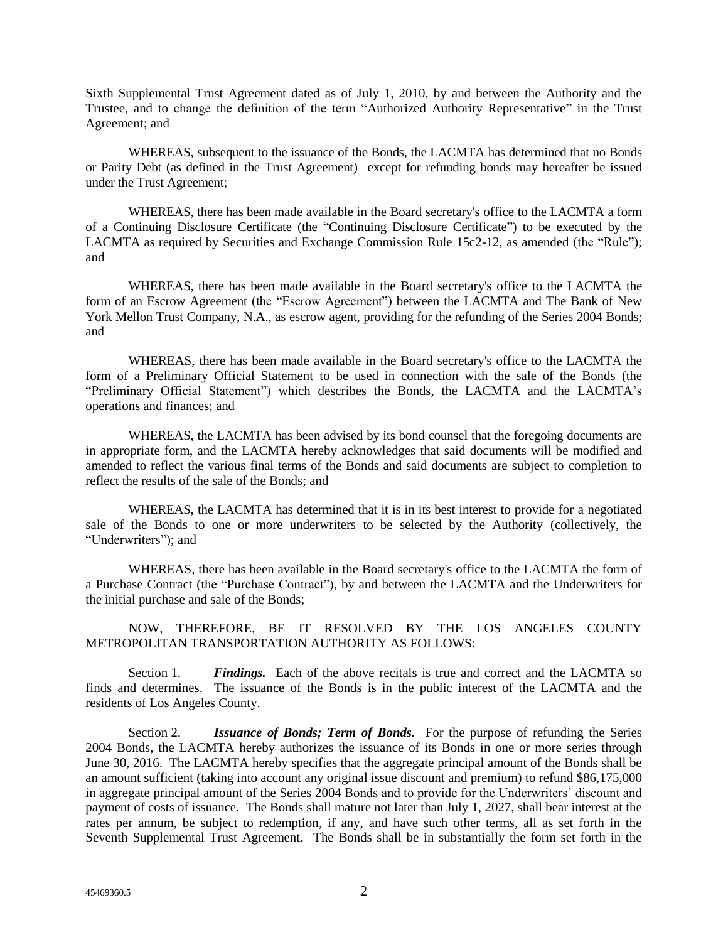Sixth Supplemental Trust Agreement dated as of July 1, 2010, by and between the Authority and the Trustee, and to change the definition of the term "Authorized Authority Representative" in the Trust Agreement; and

WHEREAS, subsequent to the issuance of the Bonds, the LACMTA has determined that no Bonds or Parity Debt (as defined in the Trust Agreement) except for refunding bonds may hereafter be issued under the Trust Agreement;

WHEREAS, there has been made available in the Board secretary's office to the LACMTA a form of a Continuing Disclosure Certificate (the "Continuing Disclosure Certificate") to be executed by the LACMTA as required by Securities and Exchange Commission Rule 15c2-12, as amended (the "Rule"); and

WHEREAS, there has been made available in the Board secretary's office to the LACMTA the form of an Escrow Agreement (the "Escrow Agreement") between the LACMTA and The Bank of New York Mellon Trust Company, N.A., as escrow agent, providing for the refunding of the Series 2004 Bonds; and

WHEREAS, there has been made available in the Board secretary's office to the LACMTA the form of a Preliminary Official Statement to be used in connection with the sale of the Bonds (the "Preliminary Official Statement") which describes the Bonds, the LACMTA and the LACMTA's operations and finances; and

WHEREAS, the LACMTA has been advised by its bond counsel that the foregoing documents are in appropriate form, and the LACMTA hereby acknowledges that said documents will be modified and amended to reflect the various final terms of the Bonds and said documents are subject to completion to reflect the results of the sale of the Bonds; and

WHEREAS, the LACMTA has determined that it is in its best interest to provide for a negotiated sale of the Bonds to one or more underwriters to be selected by the Authority (collectively, the "Underwriters"); and

WHEREAS, there has been available in the Board secretary's office to the LACMTA the form of a Purchase Contract (the "Purchase Contract"), by and between the LACMTA and the Underwriters for the initial purchase and sale of the Bonds;

NOW, THEREFORE, BE IT RESOLVED BY THE LOS ANGELES COUNTY METROPOLITAN TRANSPORTATION AUTHORITY AS FOLLOWS:

Section 1. *Findings.* Each of the above recitals is true and correct and the LACMTA so finds and determines. The issuance of the Bonds is in the public interest of the LACMTA and the residents of Los Angeles County.

Section 2. **Issuance of Bonds; Term of Bonds.** For the purpose of refunding the Series 2004 Bonds, the LACMTA hereby authorizes the issuance of its Bonds in one or more series through June 30, 2016. The LACMTA hereby specifies that the aggregate principal amount of the Bonds shall be an amount sufficient (taking into account any original issue discount and premium) to refund \$86,175,000 in aggregate principal amount of the Series 2004 Bonds and to provide for the Underwriters' discount and payment of costs of issuance. The Bonds shall mature not later than July 1, 2027, shall bear interest at the rates per annum, be subject to redemption, if any, and have such other terms, all as set forth in the Seventh Supplemental Trust Agreement. The Bonds shall be in substantially the form set forth in the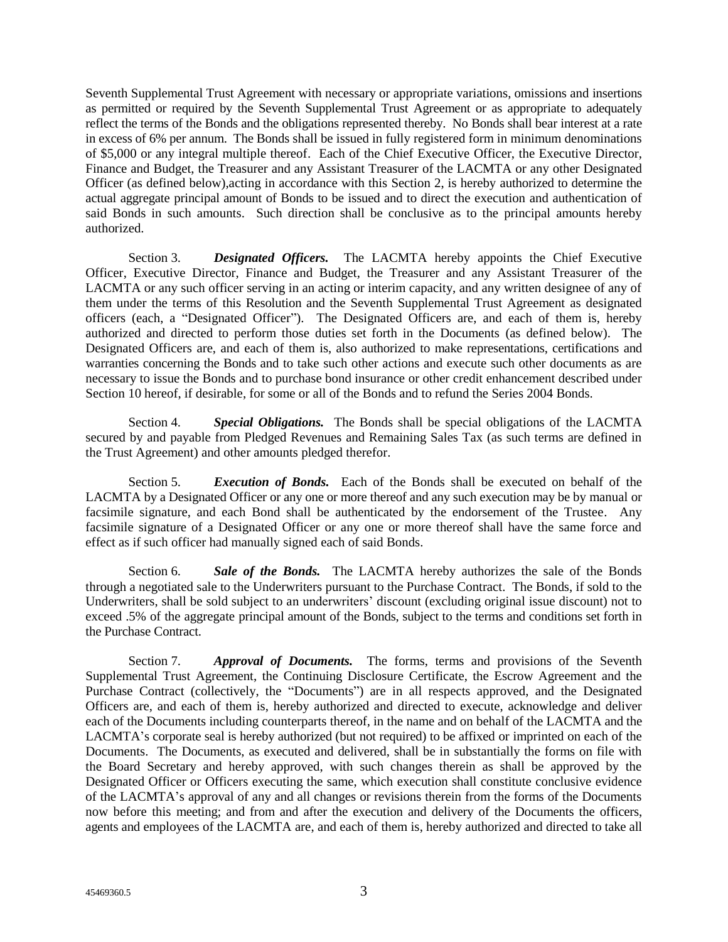Seventh Supplemental Trust Agreement with necessary or appropriate variations, omissions and insertions as permitted or required by the Seventh Supplemental Trust Agreement or as appropriate to adequately reflect the terms of the Bonds and the obligations represented thereby. No Bonds shall bear interest at a rate in excess of 6% per annum. The Bonds shall be issued in fully registered form in minimum denominations of \$5,000 or any integral multiple thereof. Each of the Chief Executive Officer, the Executive Director, Finance and Budget, the Treasurer and any Assistant Treasurer of the LACMTA or any other Designated Officer (as defined below),acting in accordance with this Section 2, is hereby authorized to determine the actual aggregate principal amount of Bonds to be issued and to direct the execution and authentication of said Bonds in such amounts. Such direction shall be conclusive as to the principal amounts hereby authorized.

Section 3. *Designated Officers.* The LACMTA hereby appoints the Chief Executive Officer, Executive Director, Finance and Budget, the Treasurer and any Assistant Treasurer of the LACMTA or any such officer serving in an acting or interim capacity, and any written designee of any of them under the terms of this Resolution and the Seventh Supplemental Trust Agreement as designated officers (each, a "Designated Officer"). The Designated Officers are, and each of them is, hereby authorized and directed to perform those duties set forth in the Documents (as defined below). The Designated Officers are, and each of them is, also authorized to make representations, certifications and warranties concerning the Bonds and to take such other actions and execute such other documents as are necessary to issue the Bonds and to purchase bond insurance or other credit enhancement described under Section 10 hereof, if desirable, for some or all of the Bonds and to refund the Series 2004 Bonds.

Section 4. *Special Obligations.* The Bonds shall be special obligations of the LACMTA secured by and payable from Pledged Revenues and Remaining Sales Tax (as such terms are defined in the Trust Agreement) and other amounts pledged therefor.

Section 5. *Execution of Bonds.* Each of the Bonds shall be executed on behalf of the LACMTA by a Designated Officer or any one or more thereof and any such execution may be by manual or facsimile signature, and each Bond shall be authenticated by the endorsement of the Trustee. Any facsimile signature of a Designated Officer or any one or more thereof shall have the same force and effect as if such officer had manually signed each of said Bonds.

Section 6. *Sale of the Bonds.* The LACMTA hereby authorizes the sale of the Bonds through a negotiated sale to the Underwriters pursuant to the Purchase Contract. The Bonds, if sold to the Underwriters, shall be sold subject to an underwriters' discount (excluding original issue discount) not to exceed .5% of the aggregate principal amount of the Bonds, subject to the terms and conditions set forth in the Purchase Contract.

Section 7. *Approval of Documents.* The forms, terms and provisions of the Seventh Supplemental Trust Agreement, the Continuing Disclosure Certificate, the Escrow Agreement and the Purchase Contract (collectively, the "Documents") are in all respects approved, and the Designated Officers are, and each of them is, hereby authorized and directed to execute, acknowledge and deliver each of the Documents including counterparts thereof, in the name and on behalf of the LACMTA and the LACMTA's corporate seal is hereby authorized (but not required) to be affixed or imprinted on each of the Documents. The Documents, as executed and delivered, shall be in substantially the forms on file with the Board Secretary and hereby approved, with such changes therein as shall be approved by the Designated Officer or Officers executing the same, which execution shall constitute conclusive evidence of the LACMTA's approval of any and all changes or revisions therein from the forms of the Documents now before this meeting; and from and after the execution and delivery of the Documents the officers, agents and employees of the LACMTA are, and each of them is, hereby authorized and directed to take all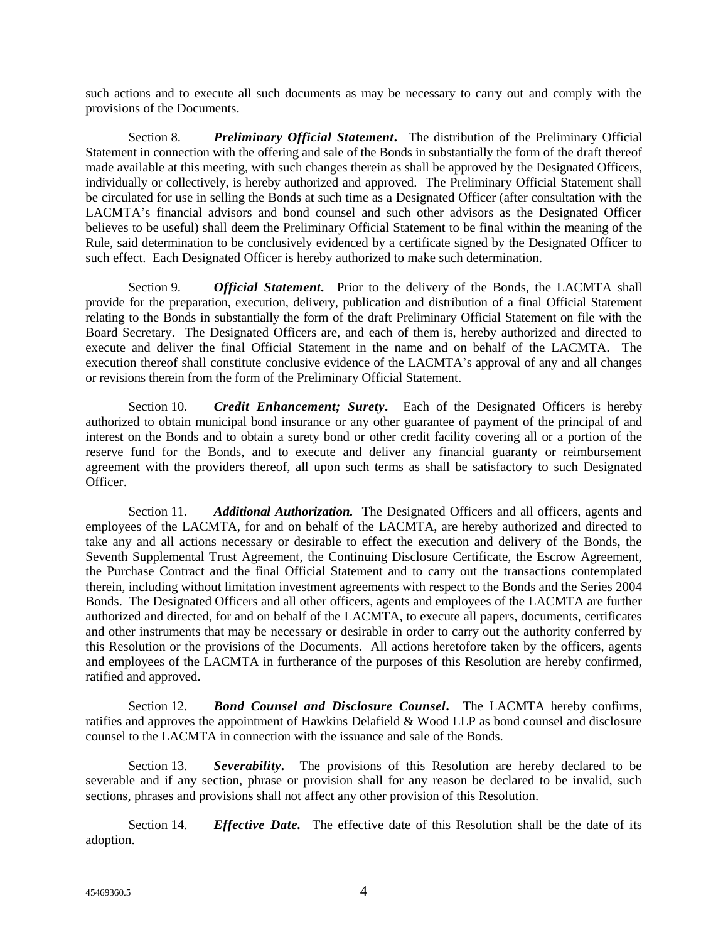such actions and to execute all such documents as may be necessary to carry out and comply with the provisions of the Documents.

Section 8. *Preliminary Official Statement.* The distribution of the Preliminary Official Statement in connection with the offering and sale of the Bonds in substantially the form of the draft thereof made available at this meeting, with such changes therein as shall be approved by the Designated Officers, individually or collectively, is hereby authorized and approved. The Preliminary Official Statement shall be circulated for use in selling the Bonds at such time as a Designated Officer (after consultation with the LACMTA's financial advisors and bond counsel and such other advisors as the Designated Officer believes to be useful) shall deem the Preliminary Official Statement to be final within the meaning of the Rule, said determination to be conclusively evidenced by a certificate signed by the Designated Officer to such effect. Each Designated Officer is hereby authorized to make such determination.

Section 9. *Official Statement.* Prior to the delivery of the Bonds, the LACMTA shall provide for the preparation, execution, delivery, publication and distribution of a final Official Statement relating to the Bonds in substantially the form of the draft Preliminary Official Statement on file with the Board Secretary. The Designated Officers are, and each of them is, hereby authorized and directed to execute and deliver the final Official Statement in the name and on behalf of the LACMTA. The execution thereof shall constitute conclusive evidence of the LACMTA's approval of any and all changes or revisions therein from the form of the Preliminary Official Statement.

Section 10. **Credit Enhancement; Surety.** Each of the Designated Officers is hereby authorized to obtain municipal bond insurance or any other guarantee of payment of the principal of and interest on the Bonds and to obtain a surety bond or other credit facility covering all or a portion of the reserve fund for the Bonds, and to execute and deliver any financial guaranty or reimbursement agreement with the providers thereof, all upon such terms as shall be satisfactory to such Designated Officer.

Section 11. *Additional Authorization*. The Designated Officers and all officers, agents and employees of the LACMTA, for and on behalf of the LACMTA, are hereby authorized and directed to take any and all actions necessary or desirable to effect the execution and delivery of the Bonds, the Seventh Supplemental Trust Agreement, the Continuing Disclosure Certificate, the Escrow Agreement, the Purchase Contract and the final Official Statement and to carry out the transactions contemplated therein, including without limitation investment agreements with respect to the Bonds and the Series 2004 Bonds. The Designated Officers and all other officers, agents and employees of the LACMTA are further authorized and directed, for and on behalf of the LACMTA, to execute all papers, documents, certificates and other instruments that may be necessary or desirable in order to carry out the authority conferred by this Resolution or the provisions of the Documents. All actions heretofore taken by the officers, agents and employees of the LACMTA in furtherance of the purposes of this Resolution are hereby confirmed, ratified and approved.

Section 12. *Bond Counsel and Disclosure Counsel.* The LACMTA hereby confirms, ratifies and approves the appointment of Hawkins Delafield & Wood LLP as bond counsel and disclosure counsel to the LACMTA in connection with the issuance and sale of the Bonds.

Section 13. *Severability.* The provisions of this Resolution are hereby declared to be severable and if any section, phrase or provision shall for any reason be declared to be invalid, such sections, phrases and provisions shall not affect any other provision of this Resolution.

Section 14. *Effective Date.* The effective date of this Resolution shall be the date of its adoption.